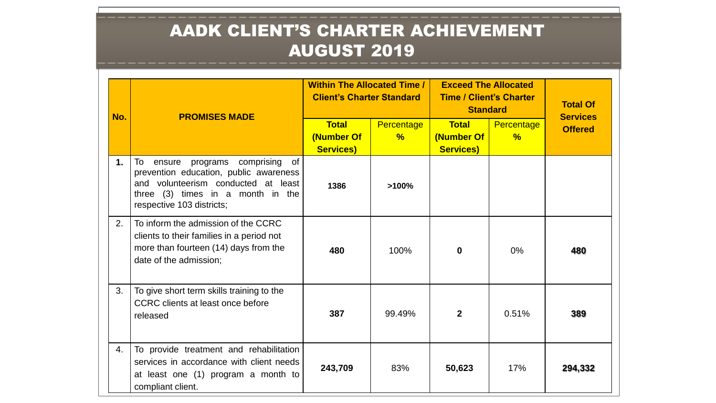| No. | <b>PROMISES MADE</b>                                                                                                                                                                         | <b>Within The Allocated Time /</b><br><b>Client's Charter Standard</b> |                                    | <b>Exceed The Allocated</b><br><b>Time / Client's Charter</b><br><b>Standard</b> |                             | <b>Total Of</b><br><b>Services</b> |
|-----|----------------------------------------------------------------------------------------------------------------------------------------------------------------------------------------------|------------------------------------------------------------------------|------------------------------------|----------------------------------------------------------------------------------|-----------------------------|------------------------------------|
|     |                                                                                                                                                                                              | <b>Total</b><br>(Number Of<br><b>Services)</b>                         | <b>Percentage</b><br>$\frac{9}{6}$ | <b>Total</b><br>(Number Of<br><b>Services)</b>                                   | Percentage<br>$\frac{9}{6}$ | <b>Offered</b>                     |
| 1.  | To<br>programs comprising<br>ensure<br>0f<br>prevention education, public awareness<br>and volunteerism conducted at least<br>three (3) times in a month in the<br>respective 103 districts; | 1386                                                                   | >100%                              |                                                                                  |                             |                                    |
| 2.  | To inform the admission of the CCRC<br>clients to their families in a period not<br>more than fourteen (14) days from the<br>date of the admission;                                          | 480                                                                    | 100%                               | 0                                                                                | $0\%$                       | 480                                |
| 3.  | To give short term skills training to the<br>CCRC clients at least once before<br>released                                                                                                   | 387                                                                    | 99.49%                             | $\mathbf{2}$                                                                     | 0.51%                       | 389                                |
| 4.  | To provide treatment and rehabilitation<br>services in accordance with client needs<br>at least one (1) program a month to<br>compliant client.                                              | 243,709                                                                | 83%                                | 50,623                                                                           | 17%                         | 294,332                            |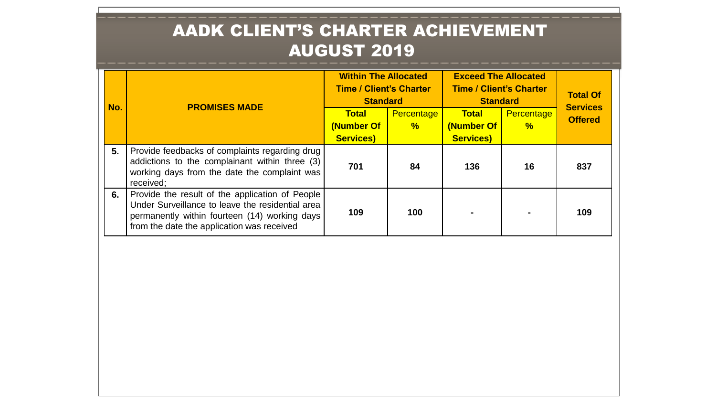| No. | <b>PROMISES MADE</b>                                                                                                                                                                               | <b>Within The Allocated</b><br><b>Time / Client's Charter</b><br><b>Standard</b> |               | <b>Exceed The Allocated</b><br><b>Time / Client's Charter</b><br><b>Standard</b> |               | <b>Total Of</b><br><b>Services</b> |
|-----|----------------------------------------------------------------------------------------------------------------------------------------------------------------------------------------------------|----------------------------------------------------------------------------------|---------------|----------------------------------------------------------------------------------|---------------|------------------------------------|
|     |                                                                                                                                                                                                    | <b>Total</b>                                                                     | Percentage    | <b>Total</b>                                                                     | Percentage    | <b>Offered</b>                     |
|     |                                                                                                                                                                                                    | (Number Of<br><b>Services)</b>                                                   | $\frac{9}{6}$ | (Number Of<br><b>Services)</b>                                                   | $\frac{9}{6}$ |                                    |
| 5.  | Provide feedbacks of complaints regarding drug<br>addictions to the complainant within three (3)<br>working days from the date the complaint was<br>received;                                      | 701                                                                              | 84            | 136                                                                              | 16            | 837                                |
| 6.  | Provide the result of the application of People<br>Under Surveillance to leave the residential area<br>permanently within fourteen (14) working days<br>from the date the application was received | 109                                                                              | 100           |                                                                                  |               | 109                                |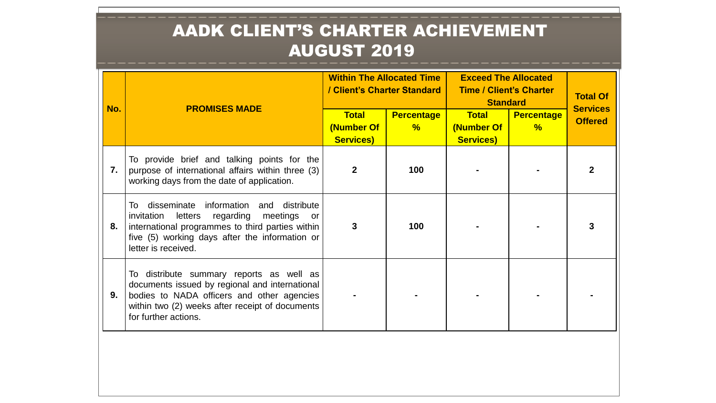| No. | <b>PROMISES MADE</b>                                                                                                                                                                                                           | <b>Within The Allocated Time</b><br>/ Client's Charter Standard |                        | <b>Exceed The Allocated</b><br><b>Time / Client's Charter</b><br><b>Standard</b> |                        | <b>Total Of</b><br><b>Services</b> |
|-----|--------------------------------------------------------------------------------------------------------------------------------------------------------------------------------------------------------------------------------|-----------------------------------------------------------------|------------------------|----------------------------------------------------------------------------------|------------------------|------------------------------------|
|     |                                                                                                                                                                                                                                | <b>Total</b><br>(Number Of<br><b>Services)</b>                  | <b>Percentage</b><br>% | <b>Total</b><br>(Number Of<br><b>Services)</b>                                   | <b>Percentage</b><br>% | <b>Offered</b>                     |
| 7.  | To provide brief and talking points for the<br>purpose of international affairs within three (3)<br>working days from the date of application.                                                                                 | $\mathbf{2}$                                                    | 100                    |                                                                                  |                        |                                    |
| 8.  | To disseminate information<br>and distribute<br>letters<br>regarding meetings<br>invitation<br>or<br>international programmes to third parties within<br>five (5) working days after the information or<br>letter is received. | 3                                                               | 100                    |                                                                                  |                        |                                    |
| 9.  | To distribute summary reports as well as<br>documents issued by regional and international<br>bodies to NADA officers and other agencies<br>within two (2) weeks after receipt of documents<br>for further actions.            |                                                                 |                        |                                                                                  |                        |                                    |